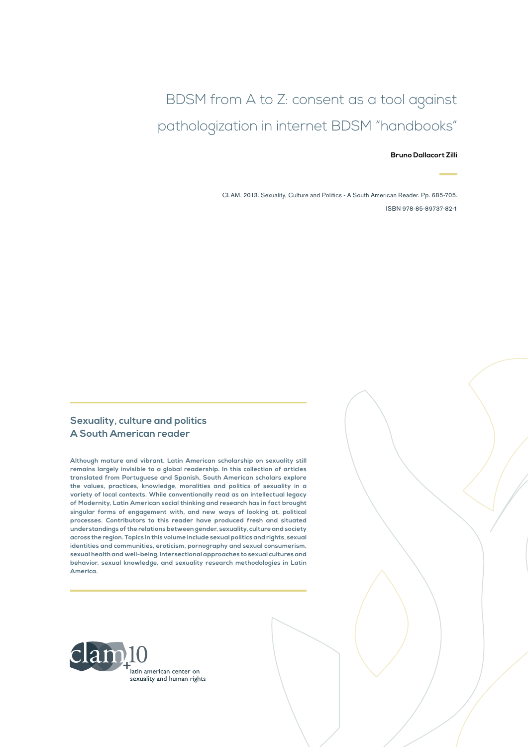# BDSM from A to Z: consent as a tool against pathologization in internet BDSM "handbooks"

#### **Bruno Dallacort Zilli**

CLAM. 2013. Sexuality, Culture and Politics - A South American Reader. Pp. 685-705. ISBN 978-85-89737-82-1

#### **Sexuality, culture and politics A South American reader**

**Although mature and vibrant, Latin American scholarship on sexuality still remains largely invisible to a global readership. In this collection of articles translated from Portuguese and Spanish, South American scholars explore the values, practices, knowledge, moralities and politics of sexuality in a variety of local contexts. While conventionally read as an intellectual legacy of Modernity, Latin American social thinking and research has in fact brought singular forms of engagement with, and new ways of looking at, political processes. Contributors to this reader have produced fresh and situated understandings of the relations between gender, sexuality, culture and society across the region. Topics in this volume include sexual politics and rights, sexual identities and communities, eroticism, pornography and sexual consumerism, sexual health and well-being, intersectional approaches to sexual cultures and behavior, sexual knowledge, and sexuality research methodologies in Latin America.**

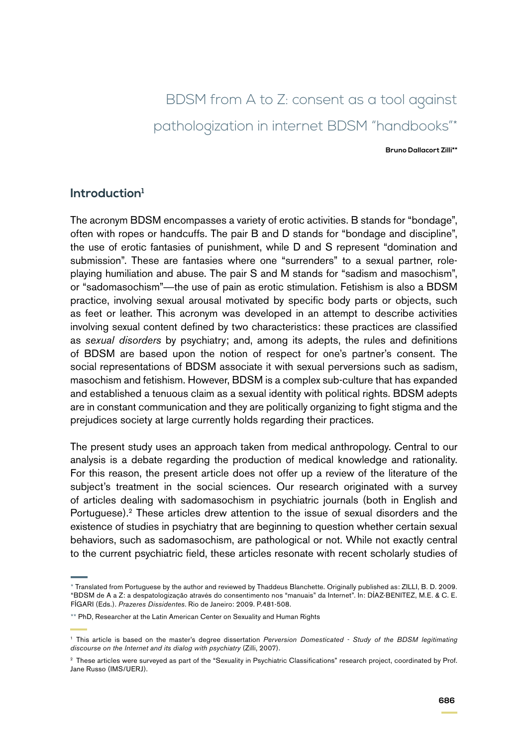# BDSM from A to Z: consent as a tool against pathologization in internet BDSM "handbooks"\*

**Bruno Dallacort Zilli\*\***

#### **Introduction1**

The acronym BDSM encompasses a variety of erotic activities. B stands for "bondage", often with ropes or handcuffs. The pair B and D stands for "bondage and discipline", the use of erotic fantasies of punishment, while D and S represent "domination and submission". These are fantasies where one "surrenders" to a sexual partner, roleplaying humiliation and abuse. The pair S and M stands for "sadism and masochism", or "sadomasochism"—the use of pain as erotic stimulation. Fetishism is also a BDSM practice, involving sexual arousal motivated by specific body parts or objects, such as feet or leather. This acronym was developed in an attempt to describe activities involving sexual content defined by two characteristics: these practices are classified as *sexual disorders* by psychiatry; and, among its adepts, the rules and definitions of BDSM are based upon the notion of respect for one's partner's consent. The social representations of BDSM associate it with sexual perversions such as sadism, masochism and fetishism. However, BDSM is a complex sub-culture that has expanded and established a tenuous claim as a sexual identity with political rights. BDSM adepts are in constant communication and they are politically organizing to fight stigma and the prejudices society at large currently holds regarding their practices.

The present study uses an approach taken from medical anthropology. Central to our analysis is a debate regarding the production of medical knowledge and rationality. For this reason, the present article does not offer up a review of the literature of the subject's treatment in the social sciences. Our research originated with a survey of articles dealing with sadomasochism in psychiatric journals (both in English and Portuguese).<sup>2</sup> These articles drew attention to the issue of sexual disorders and the existence of studies in psychiatry that are beginning to question whether certain sexual behaviors, such as sadomasochism, are pathological or not. While not exactly central to the current psychiatric field, these articles resonate with recent scholarly studies of

<sup>\*</sup> Translated from Portuguese by the author and reviewed by Thaddeus Blanchette. Originally published as: ZILLI, B. D. 2009. "BDSM de A a Z: a despatologização através do consentimento nos "manuais" da Internet". In: DÍAZ-BENITEZ, M.E. & C. E. FÍGARI (Eds.). *Prazeres Dissidentes*. Rio de Janeiro: 2009. P.481-508.

<sup>\*\*</sup> PhD, Researcher at the Latin American Center on Sexuality and Human Rights

<sup>1</sup> This article is based on the master's degree dissertation *Perversion Domesticated - Study of the BDSM legitimating discourse on the Internet and its dialog with psychiatry* (Zilli, 2007).

<sup>2</sup> These articles were surveyed as part of the "Sexuality in Psychiatric Classifications" research project, coordinated by Prof. Jane Russo (IMS/UERJ).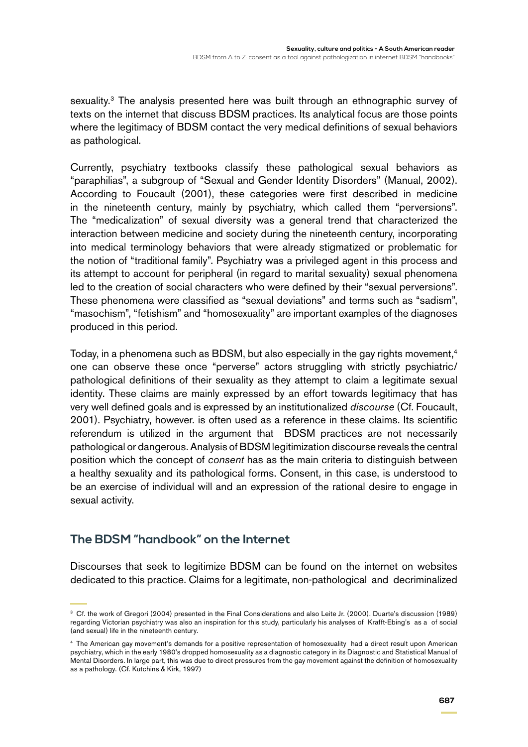sexuality.<sup>3</sup> The analysis presented here was built through an ethnographic survey of texts on the internet that discuss BDSM practices. Its analytical focus are those points where the legitimacy of BDSM contact the very medical definitions of sexual behaviors as pathological.

Currently, psychiatry textbooks classify these pathological sexual behaviors as "paraphilias", a subgroup of "Sexual and Gender Identity Disorders" (Manual, 2002). According to Foucault (2001), these categories were first described in medicine in the nineteenth century, mainly by psychiatry, which called them "perversions". The "medicalization" of sexual diversity was a general trend that characterized the interaction between medicine and society during the nineteenth century, incorporating into medical terminology behaviors that were already stigmatized or problematic for the notion of "traditional family". Psychiatry was a privileged agent in this process and its attempt to account for peripheral (in regard to marital sexuality) sexual phenomena led to the creation of social characters who were defined by their "sexual perversions". These phenomena were classified as "sexual deviations" and terms such as "sadism", "masochism", "fetishism" and "homosexuality" are important examples of the diagnoses produced in this period.

Today, in a phenomena such as BDSM, but also especially in the gay rights movement,<sup>4</sup> one can observe these once "perverse" actors struggling with strictly psychiatric/ pathological definitions of their sexuality as they attempt to claim a legitimate sexual identity. These claims are mainly expressed by an effort towards legitimacy that has very well defined goals and is expressed by an institutionalized *discourse* (Cf. Foucault, 2001). Psychiatry, however. is often used as a reference in these claims. Its scientific referendum is utilized in the argument that BDSM practices are not necessarily pathological or dangerous. Analysis of BDSM legitimization discourse reveals the central position which the concept of *consent* has as the main criteria to distinguish between a healthy sexuality and its pathological forms. Consent, in this case, is understood to be an exercise of individual will and an expression of the rational desire to engage in sexual activity.

# **The BDSM "handbook" on the Internet**

Discourses that seek to legitimize BDSM can be found on the internet on websites dedicated to this practice. Claims for a legitimate, non-pathological and decriminalized

<sup>3</sup> Cf. the work of Gregori (2004) presented in the Final Considerations and also Leite Jr. (2000). Duarte's discussion (1989) regarding Victorian psychiatry was also an inspiration for this study, particularly his analyses of Krafft-Ebing's as a of social (and sexual) life in the nineteenth century.

<sup>4</sup> The American gay movement's demands for a positive representation of homosexuality had a direct result upon American psychiatry, which in the early 1980's dropped homosexuality as a diagnostic category in its Diagnostic and Statistical Manual of Mental Disorders. In large part, this was due to direct pressures from the gay movement against the definition of homosexuality as a pathology. (Cf. Kutchins & Kirk, 1997)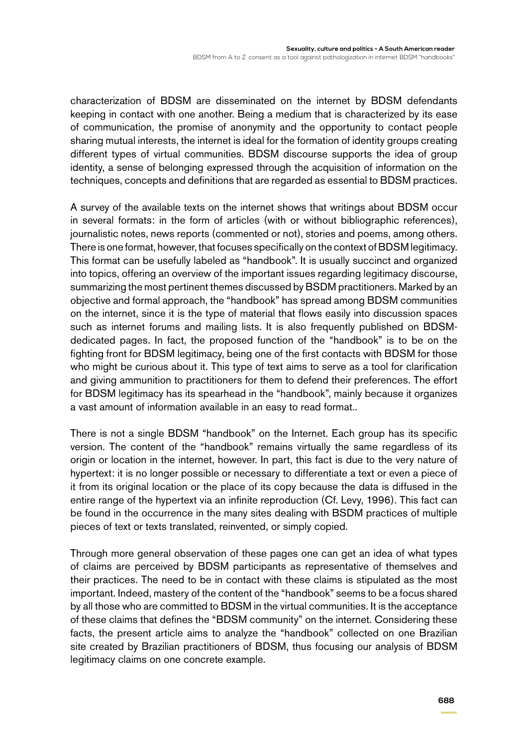characterization of BDSM are disseminated on the internet by BDSM defendants keeping in contact with one another. Being a medium that is characterized by its ease of communication, the promise of anonymity and the opportunity to contact people sharing mutual interests, the internet is ideal for the formation of identity groups creating different types of virtual communities. BDSM discourse supports the idea of group identity, a sense of belonging expressed through the acquisition of information on the techniques, concepts and definitions that are regarded as essential to BDSM practices.

A survey of the available texts on the internet shows that writings about BDSM occur in several formats: in the form of articles (with or without bibliographic references), journalistic notes, news reports (commented or not), stories and poems, among others. There is one format, however, that focuses specifically on the context of BDSM legitimacy. This format can be usefully labeled as "handbook". It is usually succinct and organized into topics, offering an overview of the important issues regarding legitimacy discourse, summarizing the most pertinent themes discussed by BSDM practitioners. Marked by an objective and formal approach, the "handbook" has spread among BDSM communities on the internet, since it is the type of material that flows easily into discussion spaces such as internet forums and mailing lists. It is also frequently published on BDSMdedicated pages. In fact, the proposed function of the "handbook" is to be on the fighting front for BDSM legitimacy, being one of the first contacts with BDSM for those who might be curious about it. This type of text aims to serve as a tool for clarification and giving ammunition to practitioners for them to defend their preferences. The effort for BDSM legitimacy has its spearhead in the "handbook", mainly because it organizes a vast amount of information available in an easy to read format..

There is not a single BDSM "handbook" on the Internet. Each group has its specific version. The content of the "handbook" remains virtually the same regardless of its origin or location in the internet, however. In part, this fact is due to the very nature of hypertext: it is no longer possible or necessary to differentiate a text or even a piece of it from its original location or the place of its copy because the data is diffused in the entire range of the hypertext via an infinite reproduction (Cf. Levy, 1996). This fact can be found in the occurrence in the many sites dealing with BSDM practices of multiple pieces of text or texts translated, reinvented, or simply copied.

Through more general observation of these pages one can get an idea of what types of claims are perceived by BDSM participants as representative of themselves and their practices. The need to be in contact with these claims is stipulated as the most important. Indeed, mastery of the content of the "handbook" seems to be a focus shared by all those who are committed to BDSM in the virtual communities. It is the acceptance of these claims that defines the "BDSM community" on the internet. Considering these facts, the present article aims to analyze the "handbook" collected on one Brazilian site created by Brazilian practitioners of BDSM, thus focusing our analysis of BDSM legitimacy claims on one concrete example.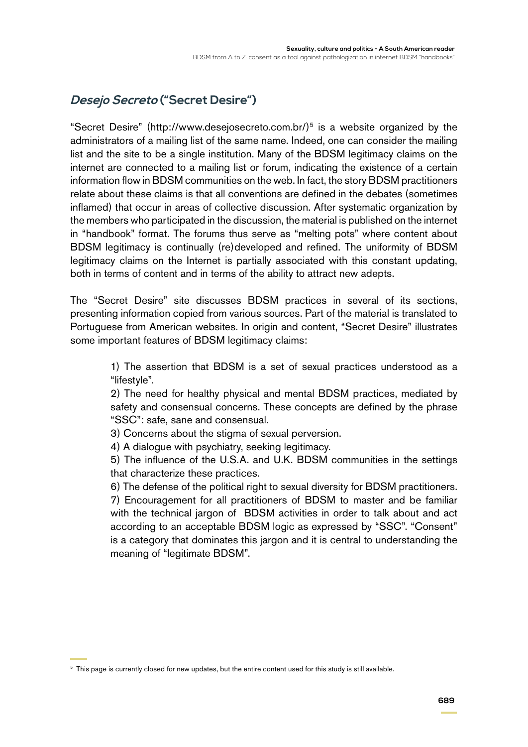# **Desejo Secreto ("Secret Desire")**

"Secret Desire" (http://www.desejosecreto.com.br/ $5$  is a website organized by the administrators of a mailing list of the same name. Indeed, one can consider the mailing list and the site to be a single institution. Many of the BDSM legitimacy claims on the internet are connected to a mailing list or forum, indicating the existence of a certain information flow in BDSM communities on the web. In fact, the story BDSM practitioners relate about these claims is that all conventions are defined in the debates (sometimes inflamed) that occur in areas of collective discussion. After systematic organization by the members who participated in the discussion, the material is published on the internet in "handbook" format. The forums thus serve as "melting pots" where content about BDSM legitimacy is continually (re)developed and refined. The uniformity of BDSM legitimacy claims on the Internet is partially associated with this constant updating, both in terms of content and in terms of the ability to attract new adepts.

The "Secret Desire" site discusses BDSM practices in several of its sections, presenting information copied from various sources. Part of the material is translated to Portuguese from American websites. In origin and content, "Secret Desire" illustrates some important features of BDSM legitimacy claims:

> 1) The assertion that BDSM is a set of sexual practices understood as a "lifestyle".

> 2) The need for healthy physical and mental BDSM practices, mediated by safety and consensual concerns. These concepts are defined by the phrase "SSC": safe, sane and consensual.

3) Concerns about the stigma of sexual perversion.

4) A dialogue with psychiatry, seeking legitimacy.

5) The influence of the U.S.A. and U.K. BDSM communities in the settings that characterize these practices.

6) The defense of the political right to sexual diversity for BDSM practitioners. 7) Encouragement for all practitioners of BDSM to master and be familiar with the technical jargon of BDSM activities in order to talk about and act according to an acceptable BDSM logic as expressed by "SSC". "Consent" is a category that dominates this jargon and it is central to understanding the meaning of "legitimate BDSM".

<sup>5</sup> This page is currently closed for new updates, but the entire content used for this study is still available.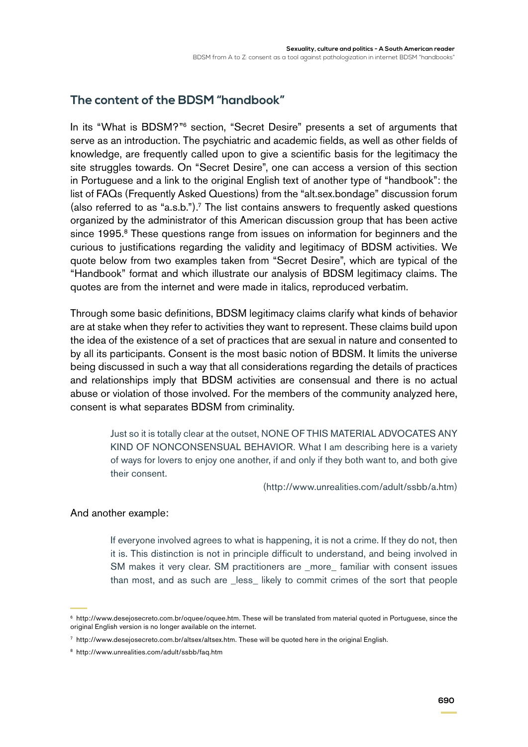# **The content of the BDSM "handbook"**

In its "What is BDSM?"6 section, "Secret Desire" presents a set of arguments that serve as an introduction. The psychiatric and academic fields, as well as other fields of knowledge, are frequently called upon to give a scientific basis for the legitimacy the site struggles towards. On "Secret Desire", one can access a version of this section in Portuguese and a link to the original English text of another type of "handbook": the list of FAQs (Frequently Asked Questions) from the "alt.sex.bondage" discussion forum (also referred to as "a.s.b.").<sup>7</sup> The list contains answers to frequently asked questions organized by the administrator of this American discussion group that has been active since 1995.<sup>8</sup> These questions range from issues on information for beginners and the curious to justifications regarding the validity and legitimacy of BDSM activities. We quote below from two examples taken from "Secret Desire", which are typical of the "Handbook" format and which illustrate our analysis of BDSM legitimacy claims. The quotes are from the internet and were made in italics, reproduced verbatim.

Through some basic definitions, BDSM legitimacy claims clarify what kinds of behavior are at stake when they refer to activities they want to represent. These claims build upon the idea of the existence of a set of practices that are sexual in nature and consented to by all its participants. Consent is the most basic notion of BDSM. It limits the universe being discussed in such a way that all considerations regarding the details of practices and relationships imply that BDSM activities are consensual and there is no actual abuse or violation of those involved. For the members of the community analyzed here, consent is what separates BDSM from criminality.

> Just so it is totally clear at the outset, NONE OF THIS MATERIAL ADVOCATES ANY KIND OF NONCONSENSUAL BEHAVIOR. What I am describing here is a variety of ways for lovers to enjoy one another, if and only if they both want to, and both give their consent.

> > [\(http://www.unrealities.com/adult/ssbb/a.htm](http://www.unrealities.com/adult/ssbb/a.htm))

#### And another example:

If everyone involved agrees to what is happening, it is not a crime. If they do not, then it is. This distinction is not in principle difficult to understand, and being involved in SM makes it very clear. SM practitioners are \_more\_ familiar with consent issues than most, and as such are \_less\_ likely to commit crimes of the sort that people

<sup>6</sup> http://www.desejosecreto.com.br/oquee/oquee.htm. These will be translated from material quoted in Portuguese, since the original English version is no longer available on the internet.

<sup>7</sup> http://www.desejosecreto.com.br/altsex/altsex.htm. These will be quoted here in the original English.

<sup>8</sup> http://www.unrealities.com/adult/ssbb/faq.htm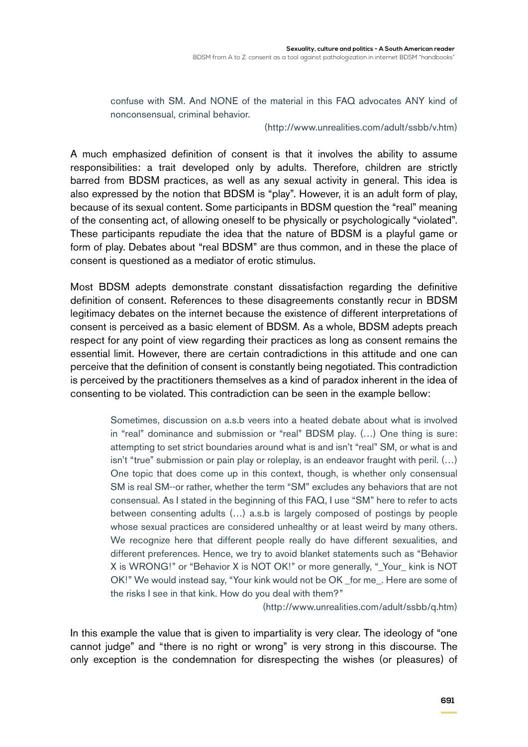confuse with SM. And NONE of the material in this FAQ advocates ANY kind of nonconsensual, criminal behavior.

(<http://www.unrealities.com/adult/ssbb/v.htm>)

A much emphasized definition of consent is that it involves the ability to assume responsibilities: a trait developed only by adults. Therefore, children are strictly barred from BDSM practices, as well as any sexual activity in general. This idea is also expressed by the notion that BDSM is "play". However, it is an adult form of play, because of its sexual content. Some participants in BDSM question the "real" meaning of the consenting act, of allowing oneself to be physically or psychologically "violated". These participants repudiate the idea that the nature of BDSM is a playful game or form of play. Debates about "real BDSM" are thus common, and in these the place of consent is questioned as a mediator of erotic stimulus.

Most BDSM adepts demonstrate constant dissatisfaction regarding the definitive definition of consent. References to these disagreements constantly recur in BDSM legitimacy debates on the internet because the existence of different interpretations of consent is perceived as a basic element of BDSM. As a whole, BDSM adepts preach respect for any point of view regarding their practices as long as consent remains the essential limit. However, there are certain contradictions in this attitude and one can perceive that the definition of consent is constantly being negotiated. This contradiction is perceived by the practitioners themselves as a kind of paradox inherent in the idea of consenting to be violated. This contradiction can be seen in the example bellow:

> Sometimes, discussion on a.s.b veers into a heated debate about what is involved in "real" dominance and submission or "real" BDSM play. (…) One thing is sure: attempting to set strict boundaries around what is and isn't "real" SM, or what is and isn't "true" submission or pain play or roleplay, is an endeavor fraught with peril. (…) One topic that does come up in this context, though, is whether only consensual SM is real SM--or rather, whether the term "SM" excludes any behaviors that are not consensual. As I stated in the beginning of this FAQ, I use "SM" here to refer to acts between consenting adults (…) a.s.b is largely composed of postings by people whose sexual practices are considered unhealthy or at least weird by many others. We recognize here that different people really do have different sexualities, and different preferences. Hence, we try to avoid blanket statements such as "Behavior X is WRONG!" or "Behavior X is NOT OK!" or more generally, "\_Your\_ kink is NOT OK!" We would instead say, "Your kink would not be OK \_for me\_. Here are some of the risks I see in that kink. How do you deal with them?"

> > (<http://www.unrealities.com/adult/ssbb/q.htm>)

In this example the value that is given to impartiality is very clear. The ideology of "one cannot judge" and "there is no right or wrong" is very strong in this discourse. The only exception is the condemnation for disrespecting the wishes (or pleasures) of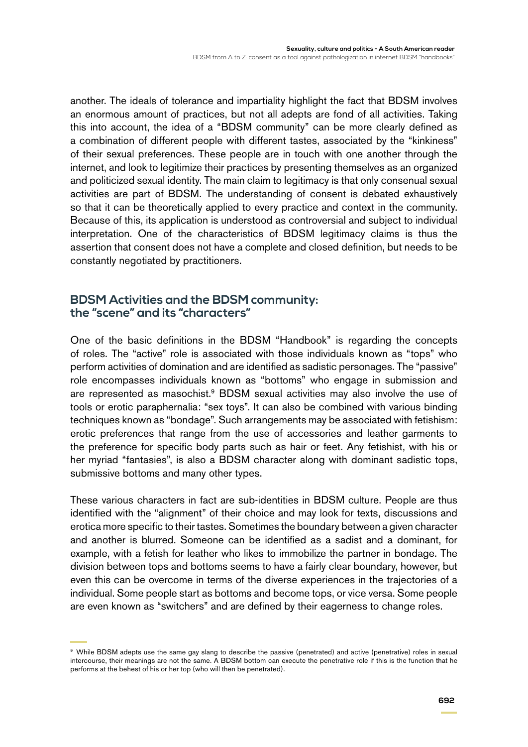another. The ideals of tolerance and impartiality highlight the fact that BDSM involves an enormous amount of practices, but not all adepts are fond of all activities. Taking this into account, the idea of a "BDSM community" can be more clearly defined as a combination of different people with different tastes, associated by the "kinkiness" of their sexual preferences. These people are in touch with one another through the internet, and look to legitimize their practices by presenting themselves as an organized and politicized sexual identity. The main claim to legitimacy is that only consenual sexual activities are part of BDSM. The understanding of consent is debated exhaustively so that it can be theoretically applied to every practice and context in the community. Because of this, its application is understood as controversial and subject to individual interpretation. One of the characteristics of BDSM legitimacy claims is thus the assertion that consent does not have a complete and closed definition, but needs to be constantly negotiated by practitioners.

### **BDSM Activities and the BDSM community: the "scene" and its "characters"**

One of the basic definitions in the BDSM "Handbook" is regarding the concepts of roles. The "active" role is associated with those individuals known as "tops" who perform activities of domination and are identified as sadistic personages. The "passive" role encompasses individuals known as "bottoms" who engage in submission and are represented as masochist.<sup>9</sup> BDSM sexual activities may also involve the use of tools or erotic paraphernalia: "sex toys". It can also be combined with various binding techniques known as "bondage". Such arrangements may be associated with fetishism: erotic preferences that range from the use of accessories and leather garments to the preference for specific body parts such as hair or feet. Any fetishist, with his or her myriad "fantasies", is also a BDSM character along with dominant sadistic tops, submissive bottoms and many other types.

These various characters in fact are sub-identities in BDSM culture. People are thus identified with the "alignment" of their choice and may look for texts, discussions and erotica more specific to their tastes. Sometimes the boundary between a given character and another is blurred. Someone can be identified as a sadist and a dominant, for example, with a fetish for leather who likes to immobilize the partner in bondage. The division between tops and bottoms seems to have a fairly clear boundary, however, but even this can be overcome in terms of the diverse experiences in the trajectories of a individual. Some people start as bottoms and become tops, or vice versa. Some people are even known as "switchers" and are defined by their eagerness to change roles.

<sup>&</sup>lt;sup>9</sup> While BDSM adepts use the same gay slang to describe the passive (penetrated) and active (penetrative) roles in sexual intercourse, their meanings are not the same. A BDSM bottom can execute the penetrative role if this is the function that he performs at the behest of his or her top (who will then be penetrated).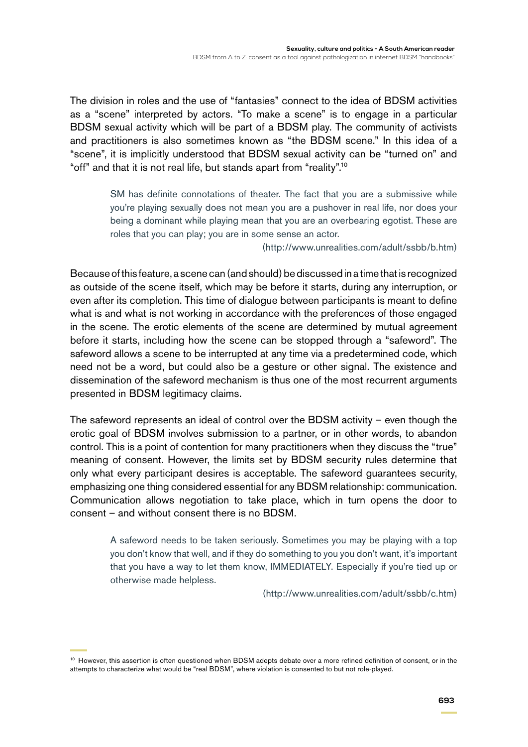The division in roles and the use of "fantasies" connect to the idea of BDSM activities as a "scene" interpreted by actors. "To make a scene" is to engage in a particular BDSM sexual activity which will be part of a BDSM play. The community of activists and practitioners is also sometimes known as "the BDSM scene." In this idea of a "scene", it is implicitly understood that BDSM sexual activity can be "turned on" and "off" and that it is not real life, but stands apart from "reality".10

> SM has definite connotations of theater. The fact that you are a submissive while you're playing sexually does not mean you are a pushover in real life, nor does your being a dominant while playing mean that you are an overbearing egotist. These are roles that you can play; you are in some sense an actor.

> > (<http://www.unrealities.com/adult/ssbb/b.htm>)

Because of this feature, a scene can (and should) be discussed in a time that is recognized as outside of the scene itself, which may be before it starts, during any interruption, or even after its completion. This time of dialogue between participants is meant to define what is and what is not working in accordance with the preferences of those engaged in the scene. The erotic elements of the scene are determined by mutual agreement before it starts, including how the scene can be stopped through a "safeword". The safeword allows a scene to be interrupted at any time via a predetermined code, which need not be a word, but could also be a gesture or other signal. The existence and dissemination of the safeword mechanism is thus one of the most recurrent arguments presented in BDSM legitimacy claims.

The safeword represents an ideal of control over the BDSM activity – even though the erotic goal of BDSM involves submission to a partner, or in other words, to abandon control. This is a point of contention for many practitioners when they discuss the "true" meaning of consent. However, the limits set by BDSM security rules determine that only what every participant desires is acceptable. The safeword guarantees security, emphasizing one thing considered essential for any BDSM relationship: communication. Communication allows negotiation to take place, which in turn opens the door to consent – and without consent there is no BDSM.

> A safeword needs to be taken seriously. Sometimes you may be playing with a top you don't know that well, and if they do something to you you don't want, it's important that you have a way to let them know, IMMEDIATELY. Especially if you're tied up or otherwise made helpless.

> > (<http://www.unrealities.com/adult/ssbb/c.htm>)

<sup>&</sup>lt;sup>10</sup> However, this assertion is often questioned when BDSM adepts debate over a more refined definition of consent, or in the attempts to characterize what would be "real BDSM", where violation is consented to but not role-played.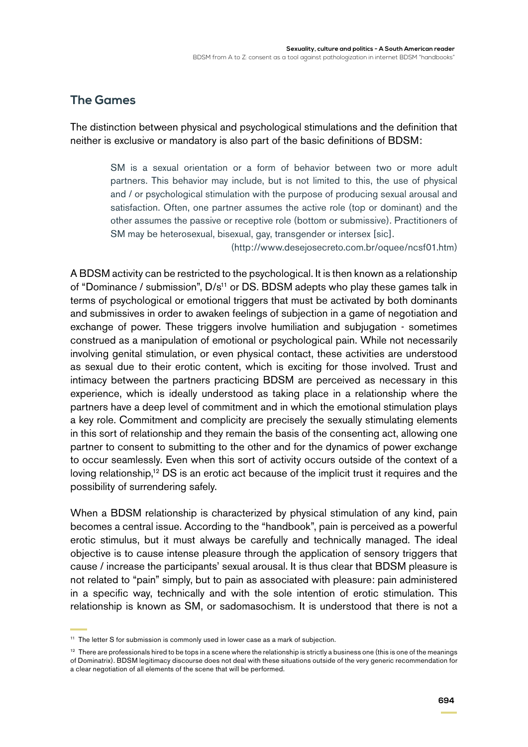# **The Games**

The distinction between physical and psychological stimulations and the definition that neither is exclusive or mandatory is also part of the basic definitions of BDSM:

> SM is a sexual orientation or a form of behavior between two or more adult partners. This behavior may include, but is not limited to this, the use of physical and / or psychological stimulation with the purpose of producing sexual arousal and satisfaction. Often, one partner assumes the active role (top or dominant) and the other assumes the passive or receptive role (bottom or submissive). Practitioners of SM may be heterosexual, bisexual, gay, transgender or intersex [sic].

> > (http://www.desejosecreto.com.br/oquee/ncsf01.htm)

A BDSM activity can be restricted to the psychological. It is then known as a relationship of "Dominance / submission", D/s<sup>11</sup> or DS. BDSM adepts who play these games talk in terms of psychological or emotional triggers that must be activated by both dominants and submissives in order to awaken feelings of subjection in a game of negotiation and exchange of power. These triggers involve humiliation and subjugation - sometimes construed as a manipulation of emotional or psychological pain. While not necessarily involving genital stimulation, or even physical contact, these activities are understood as sexual due to their erotic content, which is exciting for those involved. Trust and intimacy between the partners practicing BDSM are perceived as necessary in this experience, which is ideally understood as taking place in a relationship where the partners have a deep level of commitment and in which the emotional stimulation plays a key role. Commitment and complicity are precisely the sexually stimulating elements in this sort of relationship and they remain the basis of the consenting act, allowing one partner to consent to submitting to the other and for the dynamics of power exchange to occur seamlessly. Even when this sort of activity occurs outside of the context of a loving relationship,<sup>12</sup> DS is an erotic act because of the implicit trust it requires and the possibility of surrendering safely.

When a BDSM relationship is characterized by physical stimulation of any kind, pain becomes a central issue. According to the "handbook", pain is perceived as a powerful erotic stimulus, but it must always be carefully and technically managed. The ideal objective is to cause intense pleasure through the application of sensory triggers that cause / increase the participants' sexual arousal. It is thus clear that BDSM pleasure is not related to "pain" simply, but to pain as associated with pleasure: pain administered in a specific way, technically and with the sole intention of erotic stimulation. This relationship is known as SM, or sadomasochism. It is understood that there is not a

<sup>&</sup>lt;sup>11</sup> The letter S for submission is commonly used in lower case as a mark of subjection.

 $12$  There are professionals hired to be tops in a scene where the relationship is strictly a business one (this is one of the meanings of Dominatrix). BDSM legitimacy discourse does not deal with these situations outside of the very generic recommendation for a clear negotiation of all elements of the scene that will be performed.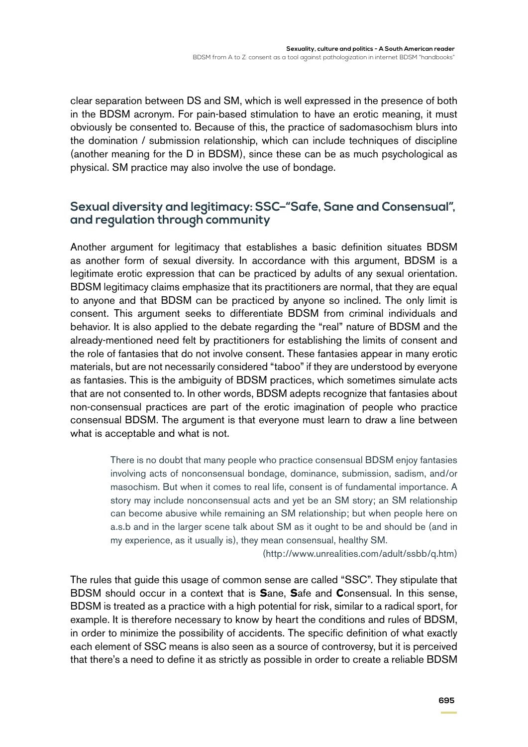clear separation between DS and SM, which is well expressed in the presence of both in the BDSM acronym. For pain-based stimulation to have an erotic meaning, it must obviously be consented to. Because of this, the practice of sadomasochism blurs into the domination / submission relationship, which can include techniques of discipline (another meaning for the D in BDSM), since these can be as much psychological as physical. SM practice may also involve the use of bondage.

# **Sexual diversity and legitimacy: SSC–"Safe, Sane and Consensual", and regulation through community**

Another argument for legitimacy that establishes a basic definition situates BDSM as another form of sexual diversity. In accordance with this argument, BDSM is a legitimate erotic expression that can be practiced by adults of any sexual orientation. BDSM legitimacy claims emphasize that its practitioners are normal, that they are equal to anyone and that BDSM can be practiced by anyone so inclined. The only limit is consent. This argument seeks to differentiate BDSM from criminal individuals and behavior. It is also applied to the debate regarding the "real" nature of BDSM and the already-mentioned need felt by practitioners for establishing the limits of consent and the role of fantasies that do not involve consent. These fantasies appear in many erotic materials, but are not necessarily considered "taboo" if they are understood by everyone as fantasies. This is the ambiguity of BDSM practices, which sometimes simulate acts that are not consented to. In other words, BDSM adepts recognize that fantasies about non-consensual practices are part of the erotic imagination of people who practice consensual BDSM. The argument is that everyone must learn to draw a line between what is acceptable and what is not.

> There is no doubt that many people who practice consensual BDSM enjoy fantasies involving acts of nonconsensual bondage, dominance, submission, sadism, and/or masochism. But when it comes to real life, consent is of fundamental importance. A story may include nonconsensual acts and yet be an SM story; an SM relationship can become abusive while remaining an SM relationship; but when people here on a.s.b and in the larger scene talk about SM as it ought to be and should be (and in my experience, as it usually is), they mean consensual, healthy SM.

> > (<http://www.unrealities.com/adult/ssbb/q.htm>)

The rules that guide this usage of common sense are called "SSC". They stipulate that BDSM should occur in a context that is **S**ane, **S**afe and **C**onsensual. In this sense, BDSM is treated as a practice with a high potential for risk, similar to a radical sport, for example. It is therefore necessary to know by heart the conditions and rules of BDSM, in order to minimize the possibility of accidents. The specific definition of what exactly each element of SSC means is also seen as a source of controversy, but it is perceived that there's a need to define it as strictly as possible in order to create a reliable BDSM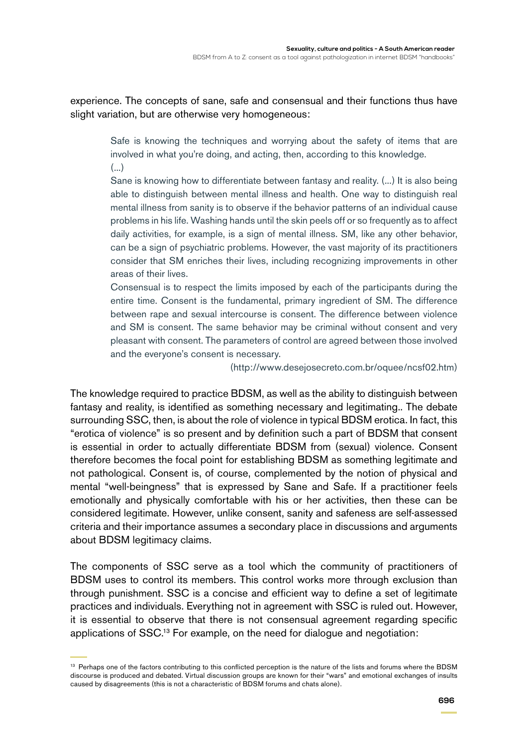experience. The concepts of sane, safe and consensual and their functions thus have slight variation, but are otherwise very homogeneous:

> Safe is knowing the techniques and worrying about the safety of items that are involved in what you're doing, and acting, then, according to this knowledge. (...)

> Sane is knowing how to differentiate between fantasy and reality. (...) It is also being able to distinguish between mental illness and health. One way to distinguish real mental illness from sanity is to observe if the behavior patterns of an individual cause problems in his life. Washing hands until the skin peels off or so frequently as to affect daily activities, for example, is a sign of mental illness. SM, like any other behavior, can be a sign of psychiatric problems. However, the vast majority of its practitioners consider that SM enriches their lives, including recognizing improvements in other areas of their lives.

> Consensual is to respect the limits imposed by each of the participants during the entire time. Consent is the fundamental, primary ingredient of SM. The difference between rape and sexual intercourse is consent. The difference between violence and SM is consent. The same behavior may be criminal without consent and very pleasant with consent. The parameters of control are agreed between those involved and the everyone's consent is necessary.

> > (http://www.desejosecreto.com.br/oquee/ncsf02.htm)

The knowledge required to practice BDSM, as well as the ability to distinguish between fantasy and reality, is identified as something necessary and legitimating.. The debate surrounding SSC, then, is about the role of violence in typical BDSM erotica. In fact, this "erotica of violence" is so present and by definition such a part of BDSM that consent is essential in order to actually differentiate BDSM from (sexual) violence. Consent therefore becomes the focal point for establishing BDSM as something legitimate and not pathological. Consent is, of course, complemented by the notion of physical and mental "well-beingness" that is expressed by Sane and Safe. If a practitioner feels emotionally and physically comfortable with his or her activities, then these can be considered legitimate. However, unlike consent, sanity and safeness are self-assessed criteria and their importance assumes a secondary place in discussions and arguments about BDSM legitimacy claims.

The components of SSC serve as a tool which the community of practitioners of BDSM uses to control its members. This control works more through exclusion than through punishment. SSC is a concise and efficient way to define a set of legitimate practices and individuals. Everything not in agreement with SSC is ruled out. However, it is essential to observe that there is not consensual agreement regarding specific applications of SSC.13 For example, on the need for dialogue and negotiation:

<sup>&</sup>lt;sup>13</sup> Perhaps one of the factors contributing to this conflicted perception is the nature of the lists and forums where the BDSM discourse is produced and debated. Virtual discussion groups are known for their "wars" and emotional exchanges of insults caused by disagreements (this is not a characteristic of BDSM forums and chats alone).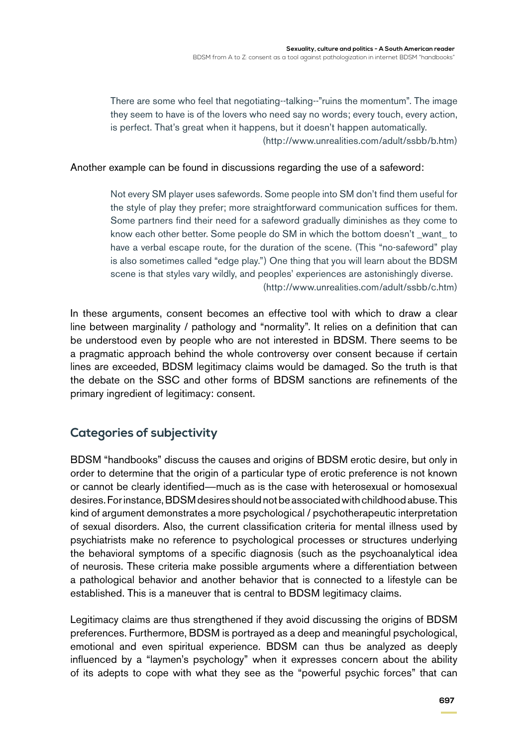There are some who feel that negotiating--talking--"ruins the momentum". The image they seem to have is of the lovers who need say no words; every touch, every action, is perfect. That's great when it happens, but it doesn't happen automatically. (<http://www.unrealities.com/adult/ssbb/b.htm>)

#### Another example can be found in discussions regarding the use of a safeword:

Not every SM player uses safewords. Some people into SM don't find them useful for the style of play they prefer; more straightforward communication suffices for them. Some partners find their need for a safeword gradually diminishes as they come to know each other better. Some people do SM in which the bottom doesn't \_want\_ to have a verbal escape route, for the duration of the scene. (This "no-safeword" play is also sometimes called "edge play.") One thing that you will learn about the BDSM scene is that styles vary wildly, and peoples' experiences are astonishingly diverse. [\(http://www.unrealities.com/adult/ssbb/c.htm](http://www.unrealities.com/adult/ssbb/c.htm))

In these arguments, consent becomes an effective tool with which to draw a clear line between marginality / pathology and "normality". It relies on a definition that can be understood even by people who are not interested in BDSM. There seems to be a pragmatic approach behind the whole controversy over consent because if certain lines are exceeded, BDSM legitimacy claims would be damaged. So the truth is that the debate on the SSC and other forms of BDSM sanctions are refinements of the primary ingredient of legitimacy: consent.

# **Categories of subjectivity**

BDSM "handbooks" discuss the causes and origins of BDSM erotic desire, but only in order to determine that the origin of a particular type of erotic preference is not known or cannot be clearly identified—much as is the case with heterosexual or homosexual desires. For instance, BDSM desires should not be associated with childhood abuse. This kind of argument demonstrates a more psychological / psychotherapeutic interpretation of sexual disorders. Also, the current classification criteria for mental illness used by psychiatrists make no reference to psychological processes or structures underlying the behavioral symptoms of a specific diagnosis (such as the psychoanalytical idea of neurosis. These criteria make possible arguments where a differentiation between a pathological behavior and another behavior that is connected to a lifestyle can be established. This is a maneuver that is central to BDSM legitimacy claims.

Legitimacy claims are thus strengthened if they avoid discussing the origins of BDSM preferences. Furthermore, BDSM is portrayed as a deep and meaningful psychological, emotional and even spiritual experience. BDSM can thus be analyzed as deeply influenced by a "laymen's psychology" when it expresses concern about the ability of its adepts to cope with what they see as the "powerful psychic forces" that can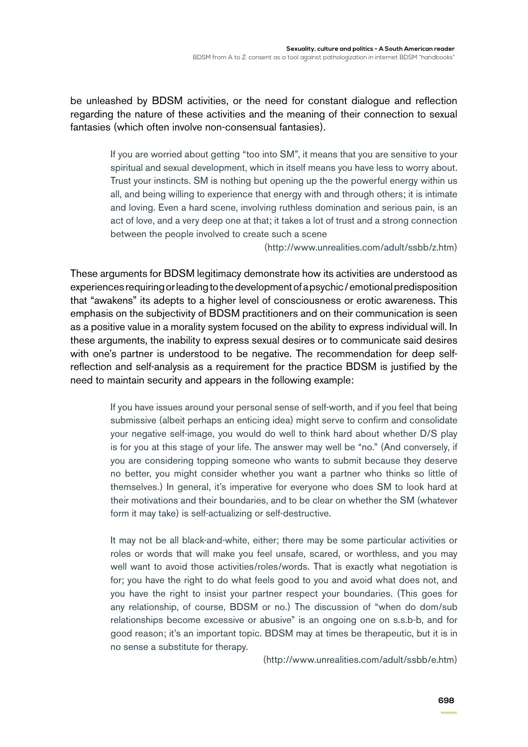be unleashed by BDSM activities, or the need for constant dialogue and reflection regarding the nature of these activities and the meaning of their connection to sexual fantasies (which often involve non-consensual fantasies).

> If you are worried about getting "too into SM", it means that you are sensitive to your spiritual and sexual development, which in itself means you have less to worry about. Trust your instincts. SM is nothing but opening up the the powerful energy within us all, and being willing to experience that energy with and through others; it is intimate and loving. Even a hard scene, involving ruthless domination and serious pain, is an act of love, and a very deep one at that; it takes a lot of trust and a strong connection between the people involved to create such a scene

> > (<http://www.unrealities.com/adult/ssbb/z.htm>)

These arguments for BDSM legitimacy demonstrate how its activities are understood as experiences requiring or leading to the development of a psychic / emotional predisposition that "awakens" its adepts to a higher level of consciousness or erotic awareness. This emphasis on the subjectivity of BDSM practitioners and on their communication is seen as a positive value in a morality system focused on the ability to express individual will. In these arguments, the inability to express sexual desires or to communicate said desires with one's partner is understood to be negative. The recommendation for deep selfreflection and self-analysis as a requirement for the practice BDSM is justified by the need to maintain security and appears in the following example:

> If you have issues around your personal sense of self-worth, and if you feel that being submissive (albeit perhaps an enticing idea) might serve to confirm and consolidate your negative self-image, you would do well to think hard about whether D/S play is for you at this stage of your life. The answer may well be "no." (And conversely, if you are considering topping someone who wants to submit because they deserve no better, you might consider whether you want a partner who thinks so little of themselves.) In general, it's imperative for everyone who does SM to look hard at their motivations and their boundaries, and to be clear on whether the SM (whatever form it may take) is self-actualizing or self-destructive.

> It may not be all black-and-white, either; there may be some particular activities or roles or words that will make you feel unsafe, scared, or worthless, and you may well want to avoid those activities/roles/words. That is exactly what negotiation is for; you have the right to do what feels good to you and avoid what does not, and you have the right to insist your partner respect your boundaries. (This goes for any relationship, of course, BDSM or no.) The discussion of "when do dom/sub relationships become excessive or abusive" is an ongoing one on s.s.b-b, and for good reason; it's an important topic. BDSM may at times be therapeutic, but it is in no sense a substitute for therapy.

> > [\(http://www.unrealities.com/adult/ssbb/e.htm](http://www.unrealities.com/adult/ssbb/e.htm))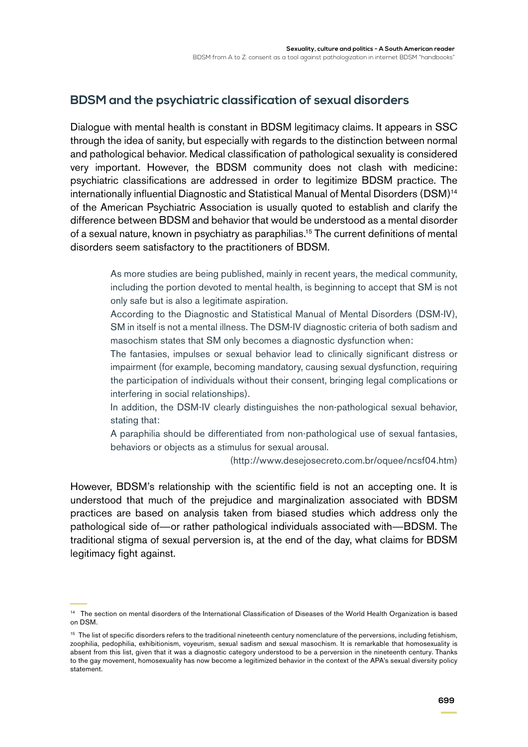# **BDSM and the psychiatric classification of sexual disorders**

Dialogue with mental health is constant in BDSM legitimacy claims. It appears in SSC through the idea of sanity, but especially with regards to the distinction between normal and pathological behavior. Medical classification of pathological sexuality is considered very important. However, the BDSM community does not clash with medicine: psychiatric classifications are addressed in order to legitimize BDSM practice. The internationally influential Diagnostic and Statistical Manual of Mental Disorders (DSM)<sup>14</sup> of the American Psychiatric Association is usually quoted to establish and clarify the difference between BDSM and behavior that would be understood as a mental disorder of a sexual nature, known in psychiatry as paraphilias.15 The current definitions of mental disorders seem satisfactory to the practitioners of BDSM.

> As more studies are being published, mainly in recent years, the medical community, including the portion devoted to mental health, is beginning to accept that SM is not only safe but is also a legitimate aspiration.

> According to the Diagnostic and Statistical Manual of Mental Disorders (DSM-IV), SM in itself is not a mental illness. The DSM-IV diagnostic criteria of both sadism and masochism states that SM only becomes a diagnostic dysfunction when:

> The fantasies, impulses or sexual behavior lead to clinically significant distress or impairment (for example, becoming mandatory, causing sexual dysfunction, requiring the participation of individuals without their consent, bringing legal complications or interfering in social relationships).

> In addition, the DSM-IV clearly distinguishes the non-pathological sexual behavior, stating that:

> A paraphilia should be differentiated from non-pathological use of sexual fantasies, behaviors or objects as a stimulus for sexual arousal.

> > (<http://www.desejosecreto.com.br/oquee/ncsf04.htm>)

However, BDSM's relationship with the scientific field is not an accepting one. It is understood that much of the prejudice and marginalization associated with BDSM practices are based on analysis taken from biased studies which address only the pathological side of—or rather pathological individuals associated with—BDSM. The traditional stigma of sexual perversion is, at the end of the day, what claims for BDSM legitimacy fight against.

<sup>14</sup> The section on mental disorders of the International Classification of Diseases of the World Health Organization is based on DSM.

<sup>&</sup>lt;sup>15</sup> The list of specific disorders refers to the traditional nineteenth century nomenclature of the perversions, including fetishism, zoophilia, pedophilia, exhibitionism, voyeurism, sexual sadism and sexual masochism. It is remarkable that homosexuality is absent from this list, given that it was a diagnostic category understood to be a perversion in the nineteenth century. Thanks to the gay movement, homosexuality has now become a legitimized behavior in the context of the APA's sexual diversity policy statement.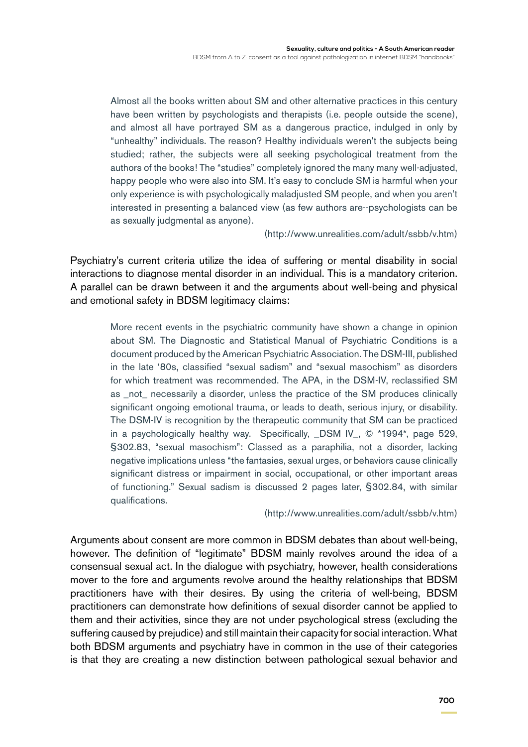Almost all the books written about SM and other alternative practices in this century have been written by psychologists and therapists (i.e. people outside the scene), and almost all have portrayed SM as a dangerous practice, indulged in only by "unhealthy" individuals. The reason? Healthy individuals weren't the subjects being studied; rather, the subjects were all seeking psychological treatment from the authors of the books! The "studies" completely ignored the many many well-adjusted, happy people who were also into SM. It's easy to conclude SM is harmful when your only experience is with psychologically maladjusted SM people, and when you aren't interested in presenting a balanced view (as few authors are--psychologists can be as sexually judgmental as anyone).

(<http://www.unrealities.com/adult/ssbb/v.htm>)

Psychiatry's current criteria utilize the idea of suffering or mental disability in social interactions to diagnose mental disorder in an individual. This is a mandatory criterion. A parallel can be drawn between it and the arguments about well-being and physical and emotional safety in BDSM legitimacy claims:

> More recent events in the psychiatric community have shown a change in opinion about SM. The Diagnostic and Statistical Manual of Psychiatric Conditions is a document produced by the American Psychiatric Association. The DSM-III, published in the late '80s, classified "sexual sadism" and "sexual masochism" as disorders for which treatment was recommended. The APA, in the DSM-IV, reclassified SM as \_not\_ necessarily a disorder, unless the practice of the SM produces clinically significant ongoing emotional trauma, or leads to death, serious injury, or disability. The DSM-IV is recognition by the therapeutic community that SM can be practiced in a psychologically healthy way. Specifically, \_DSM IV\_, © \*1994\*, page 529, §302.83, "sexual masochism": Classed as a paraphilia, not a disorder, lacking negative implications unless "the fantasies, sexual urges, or behaviors cause clinically significant distress or impairment in social, occupational, or other important areas of functioning." Sexual sadism is discussed 2 pages later, §302.84, with similar qualifications.

> > (<http://www.unrealities.com/adult/ssbb/v.htm>)

Arguments about consent are more common in BDSM debates than about well-being, however. The definition of "legitimate" BDSM mainly revolves around the idea of a consensual sexual act. In the dialogue with psychiatry, however, health considerations mover to the fore and arguments revolve around the healthy relationships that BDSM practitioners have with their desires. By using the criteria of well-being, BDSM practitioners can demonstrate how definitions of sexual disorder cannot be applied to them and their activities, since they are not under psychological stress (excluding the suffering caused by prejudice) and still maintain their capacity for social interaction. What both BDSM arguments and psychiatry have in common in the use of their categories is that they are creating a new distinction between pathological sexual behavior and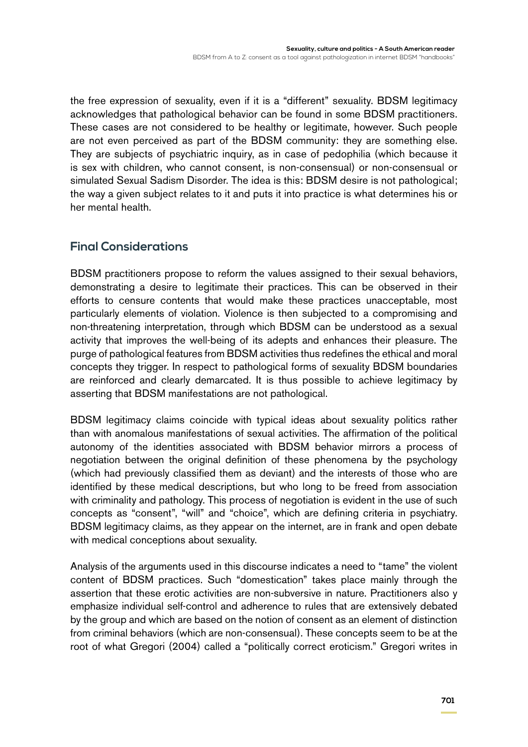the free expression of sexuality, even if it is a "different" sexuality. BDSM legitimacy acknowledges that pathological behavior can be found in some BDSM practitioners. These cases are not considered to be healthy or legitimate, however. Such people are not even perceived as part of the BDSM community: they are something else. They are subjects of psychiatric inquiry, as in case of pedophilia (which because it is sex with children, who cannot consent, is non-consensual) or non-consensual or simulated Sexual Sadism Disorder. The idea is this: BDSM desire is not pathological; the way a given subject relates to it and puts it into practice is what determines his or her mental health.

# **Final Considerations**

BDSM practitioners propose to reform the values assigned to their sexual behaviors, demonstrating a desire to legitimate their practices. This can be observed in their efforts to censure contents that would make these practices unacceptable, most particularly elements of violation. Violence is then subjected to a compromising and non-threatening interpretation, through which BDSM can be understood as a sexual activity that improves the well-being of its adepts and enhances their pleasure. The purge of pathological features from BDSM activities thus redefines the ethical and moral concepts they trigger. In respect to pathological forms of sexuality BDSM boundaries are reinforced and clearly demarcated. It is thus possible to achieve legitimacy by asserting that BDSM manifestations are not pathological.

BDSM legitimacy claims coincide with typical ideas about sexuality politics rather than with anomalous manifestations of sexual activities. The affirmation of the political autonomy of the identities associated with BDSM behavior mirrors a process of negotiation between the original definition of these phenomena by the psychology (which had previously classified them as deviant) and the interests of those who are identified by these medical descriptions, but who long to be freed from association with criminality and pathology. This process of negotiation is evident in the use of such concepts as "consent", "will" and "choice", which are defining criteria in psychiatry. BDSM legitimacy claims, as they appear on the internet, are in frank and open debate with medical conceptions about sexuality.

Analysis of the arguments used in this discourse indicates a need to "tame" the violent content of BDSM practices. Such "domestication" takes place mainly through the assertion that these erotic activities are non-subversive in nature. Practitioners also y emphasize individual self-control and adherence to rules that are extensively debated by the group and which are based on the notion of consent as an element of distinction from criminal behaviors (which are non-consensual). These concepts seem to be at the root of what Gregori (2004) called a "politically correct eroticism." Gregori writes in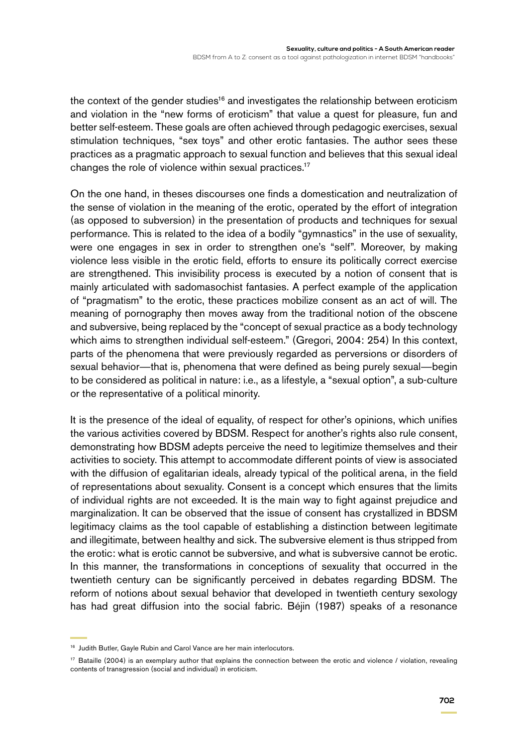the context of the gender studies<sup>16</sup> and investigates the relationship between eroticism and violation in the "new forms of eroticism" that value a quest for pleasure, fun and better self-esteem. These goals are often achieved through pedagogic exercises, sexual stimulation techniques, "sex toys" and other erotic fantasies. The author sees these practices as a pragmatic approach to sexual function and believes that this sexual ideal changes the role of violence within sexual practices.17

On the one hand, in theses discourses one finds a domestication and neutralization of the sense of violation in the meaning of the erotic, operated by the effort of integration (as opposed to subversion) in the presentation of products and techniques for sexual performance. This is related to the idea of a bodily "gymnastics" in the use of sexuality, were one engages in sex in order to strengthen one's "self". Moreover, by making violence less visible in the erotic field, efforts to ensure its politically correct exercise are strengthened. This invisibility process is executed by a notion of consent that is mainly articulated with sadomasochist fantasies. A perfect example of the application of "pragmatism" to the erotic, these practices mobilize consent as an act of will. The meaning of pornography then moves away from the traditional notion of the obscene and subversive, being replaced by the "concept of sexual practice as a body technology which aims to strengthen individual self-esteem." (Gregori, 2004: 254) In this context, parts of the phenomena that were previously regarded as perversions or disorders of sexual behavior—that is, phenomena that were defined as being purely sexual—begin to be considered as political in nature: i.e., as a lifestyle, a "sexual option", a sub-culture or the representative of a political minority.

It is the presence of the ideal of equality, of respect for other's opinions, which unifies the various activities covered by BDSM. Respect for another's rights also rule consent, demonstrating how BDSM adepts perceive the need to legitimize themselves and their activities to society. This attempt to accommodate different points of view is associated with the diffusion of egalitarian ideals, already typical of the political arena, in the field of representations about sexuality. Consent is a concept which ensures that the limits of individual rights are not exceeded. It is the main way to fight against prejudice and marginalization. It can be observed that the issue of consent has crystallized in BDSM legitimacy claims as the tool capable of establishing a distinction between legitimate and illegitimate, between healthy and sick. The subversive element is thus stripped from the erotic: what is erotic cannot be subversive, and what is subversive cannot be erotic. In this manner, the transformations in conceptions of sexuality that occurred in the twentieth century can be significantly perceived in debates regarding BDSM. The reform of notions about sexual behavior that developed in twentieth century sexology has had great diffusion into the social fabric. Béjin (1987) speaks of a resonance

<sup>&</sup>lt;sup>16</sup> Judith Butler, Gayle Rubin and Carol Vance are her main interlocutors.

<sup>&</sup>lt;sup>17</sup> Bataille (2004) is an exemplary author that explains the connection between the erotic and violence / violation, revealing contents of transgression (social and individual) in eroticism.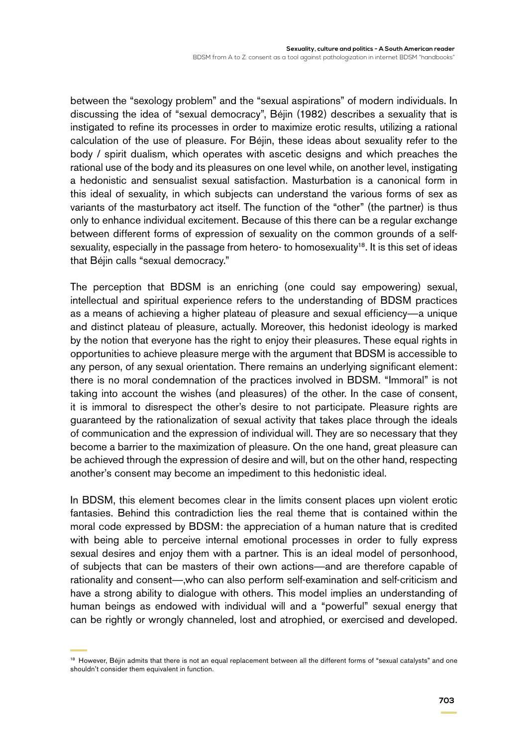between the "sexology problem" and the "sexual aspirations" of modern individuals. In discussing the idea of "sexual democracy", Béjin (1982) describes a sexuality that is instigated to refine its processes in order to maximize erotic results, utilizing a rational calculation of the use of pleasure. For Béjin, these ideas about sexuality refer to the body / spirit dualism, which operates with ascetic designs and which preaches the rational use of the body and its pleasures on one level while, on another level, instigating a hedonistic and sensualist sexual satisfaction. Masturbation is a canonical form in this ideal of sexuality, in which subjects can understand the various forms of sex as variants of the masturbatory act itself. The function of the "other" (the partner) is thus only to enhance individual excitement. Because of this there can be a regular exchange between different forms of expression of sexuality on the common grounds of a selfsexuality, especially in the passage from hetero- to homosexuality<sup>18</sup>. It is this set of ideas that Béjin calls "sexual democracy."

The perception that BDSM is an enriching (one could say empowering) sexual, intellectual and spiritual experience refers to the understanding of BDSM practices as a means of achieving a higher plateau of pleasure and sexual efficiency—a unique and distinct plateau of pleasure, actually. Moreover, this hedonist ideology is marked by the notion that everyone has the right to enjoy their pleasures. These equal rights in opportunities to achieve pleasure merge with the argument that BDSM is accessible to any person, of any sexual orientation. There remains an underlying significant element: there is no moral condemnation of the practices involved in BDSM. "Immoral" is not taking into account the wishes (and pleasures) of the other. In the case of consent, it is immoral to disrespect the other's desire to not participate. Pleasure rights are guaranteed by the rationalization of sexual activity that takes place through the ideals of communication and the expression of individual will. They are so necessary that they become a barrier to the maximization of pleasure. On the one hand, great pleasure can be achieved through the expression of desire and will, but on the other hand, respecting another's consent may become an impediment to this hedonistic ideal.

In BDSM, this element becomes clear in the limits consent places upn violent erotic fantasies. Behind this contradiction lies the real theme that is contained within the moral code expressed by BDSM: the appreciation of a human nature that is credited with being able to perceive internal emotional processes in order to fully express sexual desires and enjoy them with a partner. This is an ideal model of personhood, of subjects that can be masters of their own actions—and are therefore capable of rationality and consent—,who can also perform self-examination and self-criticism and have a strong ability to dialogue with others. This model implies an understanding of human beings as endowed with individual will and a "powerful" sexual energy that can be rightly or wrongly channeled, lost and atrophied, or exercised and developed.

<sup>&</sup>lt;sup>18</sup> However, Béjin admits that there is not an equal replacement between all the different forms of "sexual catalysts" and one shouldn't consider them equivalent in function.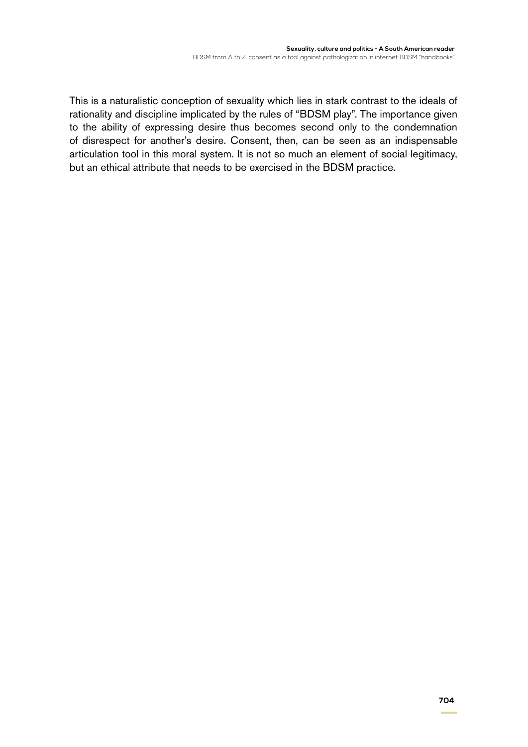This is a naturalistic conception of sexuality which lies in stark contrast to the ideals of rationality and discipline implicated by the rules of "BDSM play". The importance given to the ability of expressing desire thus becomes second only to the condemnation of disrespect for another's desire. Consent, then, can be seen as an indispensable articulation tool in this moral system. It is not so much an element of social legitimacy, but an ethical attribute that needs to be exercised in the BDSM practice.